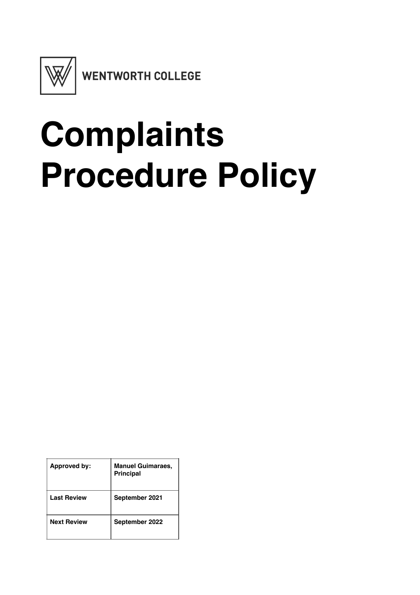

# **Complaints Procedure Policy**

| <b>Approved by:</b> | <b>Manuel Guimaraes,</b><br><b>Principal</b> |
|---------------------|----------------------------------------------|
| <b>Last Review</b>  | September 2021                               |
| <b>Next Review</b>  | September 2022                               |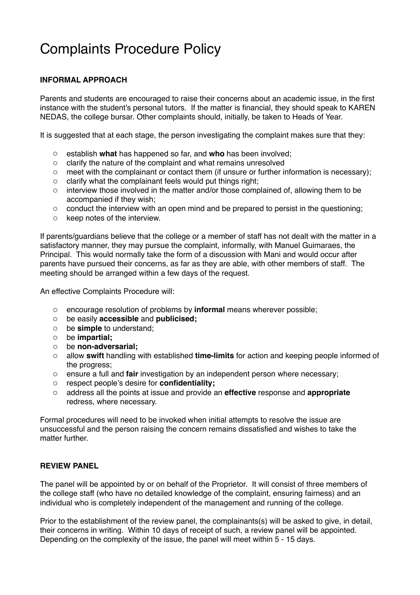## Complaints Procedure Policy

### **INFORMAL APPROACH**

Parents and students are encouraged to raise their concerns about an academic issue, in the first instance with the student's personal tutors. If the matter is financial, they should speak to KAREN NEDAS, the college bursar. Other complaints should, initially, be taken to Heads of Year.

It is suggested that at each stage, the person investigating the complaint makes sure that they:

- o establish **what** has happened so far, and **who** has been involved;
- o clarify the nature of the complaint and what remains unresolved
- $\circ$  meet with the complainant or contact them (if unsure or further information is necessary);
- o clarify what the complainant feels would put things right;
- o interview those involved in the matter and/or those complained of, allowing them to be accompanied if they wish;
- $\circ$  conduct the interview with an open mind and be prepared to persist in the questioning;
- o keep notes of the interview.

If parents/guardians believe that the college or a member of staff has not dealt with the matter in a satisfactory manner, they may pursue the complaint, informally, with Manuel Guimaraes, the Principal. This would normally take the form of a discussion with Mani and would occur after parents have pursued their concerns, as far as they are able, with other members of staff. The meeting should be arranged within a few days of the request.

An effective Complaints Procedure will:

- o encourage resolution of problems by **informal** means wherever possible;
- o be easily **accessible** and **publicised;**
- o be **simple** to understand;
- o be **impartial;**
- o be **non-adversarial;**
- o allow **swift** handling with established **time-limits** for action and keeping people informed of the progress;
- o ensure a full and **fair** investigation by an independent person where necessary;
- o respect people's desire for **confidentiality;**
- o address all the points at issue and provide an **effective** response and **appropriate**  redress, where necessary.

Formal procedures will need to be invoked when initial attempts to resolve the issue are unsuccessful and the person raising the concern remains dissatisfied and wishes to take the matter further

#### **REVIEW PANEL**

The panel will be appointed by or on behalf of the Proprietor. It will consist of three members of the college staff (who have no detailed knowledge of the complaint, ensuring fairness) and an individual who is completely independent of the management and running of the college.

Prior to the establishment of the review panel, the complainants(s) will be asked to give, in detail, their concerns in writing. Within 10 days of receipt of such, a review panel will be appointed. Depending on the complexity of the issue, the panel will meet within 5 - 15 days.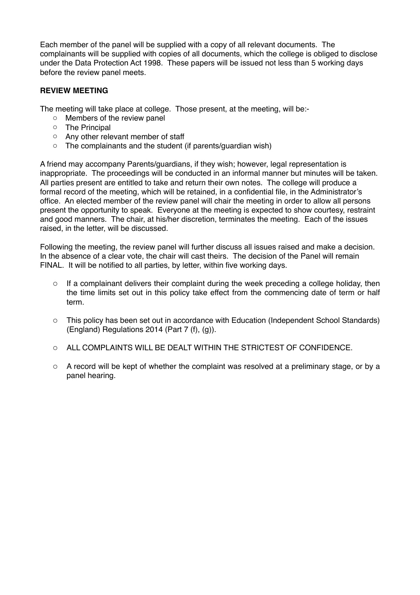Each member of the panel will be supplied with a copy of all relevant documents. The complainants will be supplied with copies of all documents, which the college is obliged to disclose under the Data Protection Act 1998. These papers will be issued not less than 5 working days before the review panel meets.

#### **REVIEW MEETING**

The meeting will take place at college. Those present, at the meeting, will be:-

- o Members of the review panel
- o The Principal
- o Any other relevant member of staff
- o The complainants and the student (if parents/guardian wish)

A friend may accompany Parents/guardians, if they wish; however, legal representation is inappropriate. The proceedings will be conducted in an informal manner but minutes will be taken. All parties present are entitled to take and return their own notes. The college will produce a formal record of the meeting, which will be retained, in a confidential file, in the Administrator's office. An elected member of the review panel will chair the meeting in order to allow all persons present the opportunity to speak. Everyone at the meeting is expected to show courtesy, restraint and good manners. The chair, at his/her discretion, terminates the meeting. Each of the issues raised, in the letter, will be discussed.

Following the meeting, the review panel will further discuss all issues raised and make a decision. In the absence of a clear vote, the chair will cast theirs. The decision of the Panel will remain FINAL. It will be notified to all parties, by letter, within five working days.

- $\circ$  If a complainant delivers their complaint during the week preceding a college holiday, then the time limits set out in this policy take effect from the commencing date of term or half term.
- o This policy has been set out in accordance with Education (Independent School Standards) (England) Regulations 2014 (Part 7 (f), (g)).
- o ALL COMPLAINTS WILL BE DEALT WITHIN THE STRICTEST OF CONFIDENCE.
- o A record will be kept of whether the complaint was resolved at a preliminary stage, or by a panel hearing.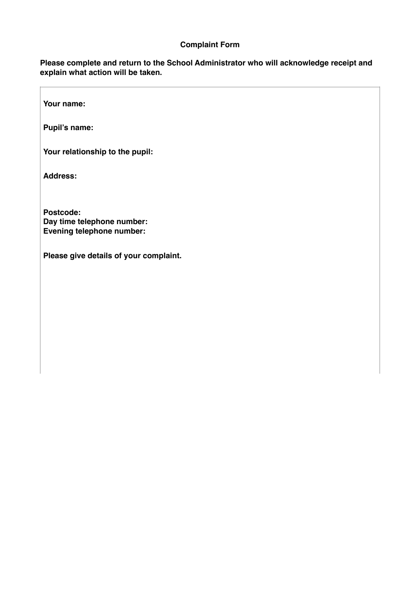#### **Complaint Form**

**Please complete and return to the School Administrator who will acknowledge receipt and explain what action will be taken.** 

**Your name:** 

**Pupil's name:**

**Your relationship to the pupil:**

**Address:** 

**Postcode: Day time telephone number: Evening telephone number:**

**Please give details of your complaint.**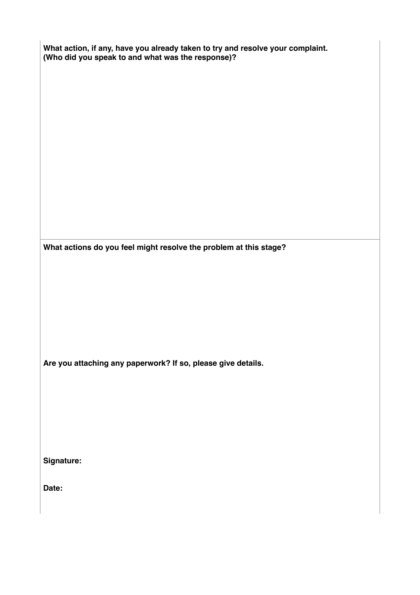| What action, if any, have you already taken to try and resolve your complaint.<br>(Who did you speak to and what was the response)? |  |
|-------------------------------------------------------------------------------------------------------------------------------------|--|
|                                                                                                                                     |  |
|                                                                                                                                     |  |
|                                                                                                                                     |  |
|                                                                                                                                     |  |
|                                                                                                                                     |  |
|                                                                                                                                     |  |
| What actions do you feel might resolve the problem at this stage?                                                                   |  |
|                                                                                                                                     |  |
|                                                                                                                                     |  |
|                                                                                                                                     |  |
| Are you attaching any paperwork? If so, please give details.                                                                        |  |
|                                                                                                                                     |  |
|                                                                                                                                     |  |
| Signature:                                                                                                                          |  |
|                                                                                                                                     |  |
| Date:                                                                                                                               |  |